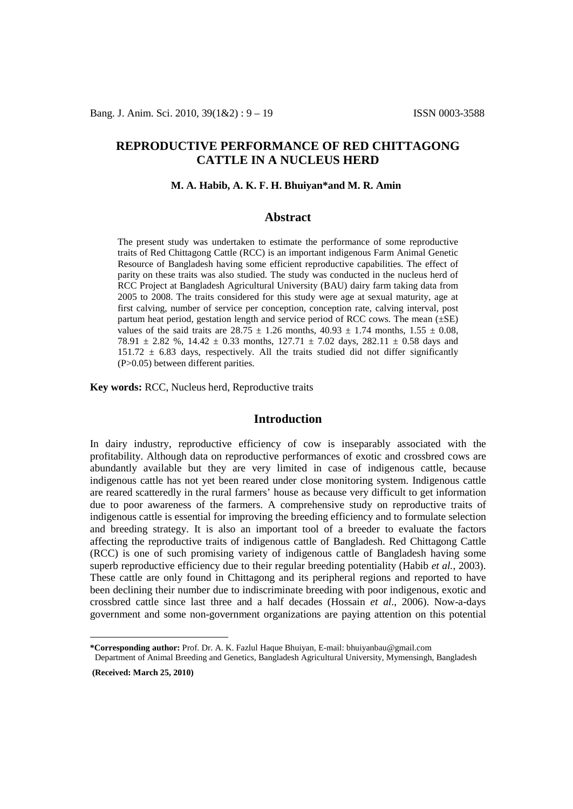# **REPRODUCTIVE PERFORMANCE OF RED CHITTAGONG CATTLE IN A NUCLEUS HERD**

### **M. A. Habib, A. K. F. H. Bhuiyan\*and M. R. Amin[1](#page-0-0)**

## **Abstract**

The present study was undertaken to estimate the performance of some reproductive traits of Red Chittagong Cattle (RCC) is an important indigenous Farm Animal Genetic Resource of Bangladesh having some efficient reproductive capabilities. The effect of parity on these traits was also studied. The study was conducted in the nucleus herd of RCC Project at Bangladesh Agricultural University (BAU) dairy farm taking data from 2005 to 2008. The traits considered for this study were age at sexual maturity, age at first calving, number of service per conception, conception rate, calving interval, post partum heat period, gestation length and service period of RCC cows. The mean (±SE) values of the said traits are  $28.75 \pm 1.26$  months,  $40.93 \pm 1.74$  months,  $1.55 \pm 0.08$ , 78.91  $\pm$  2.82 %, 14.42  $\pm$  0.33 months, 127.71  $\pm$  7.02 days, 282.11  $\pm$  0.58 days and  $151.72 \pm 6.83$  days, respectively. All the traits studied did not differ significantly (P>0.05) between different parities.

**Key words:** RCC, Nucleus herd, Reproductive traits

## **Introduction**

In dairy industry, reproductive efficiency of cow is inseparably associated with the profitability. Although data on reproductive performances of exotic and crossbred cows are abundantly available but they are very limited in case of indigenous cattle, because indigenous cattle has not yet been reared under close monitoring system. Indigenous cattle are reared scatteredly in the rural farmers' house as because very difficult to get information due to poor awareness of the farmers. A comprehensive study on reproductive traits of indigenous cattle is essential for improving the breeding efficiency and to formulate selection and breeding strategy. It is also an important tool of a breeder to evaluate the factors affecting the reproductive traits of indigenous cattle of Bangladesh. Red Chittagong Cattle (RCC) is one of such promising variety of indigenous cattle of Bangladesh having some superb reproductive efficiency due to their regular breeding potentiality (Habib *et al.*, 2003). These cattle are only found in Chittagong and its peripheral regions and reported to have been declining their number due to indiscriminate breeding with poor indigenous, exotic and crossbred cattle since last three and a half decades (Hossain *et al*., 2006). Now-a-days government and some non-government organizations are paying attention on this potential

**(Received: March 25, 2010)**

 $\overline{a}$ 

<span id="page-0-0"></span>**<sup>\*</sup>Corresponding author:** Prof. Dr. A. K. Fazlul Haque Bhuiyan, E-mail: bhuiyanbau@gmail.com

Department of Animal Breeding and Genetics, Bangladesh Agricultural University, Mymensingh, Bangladesh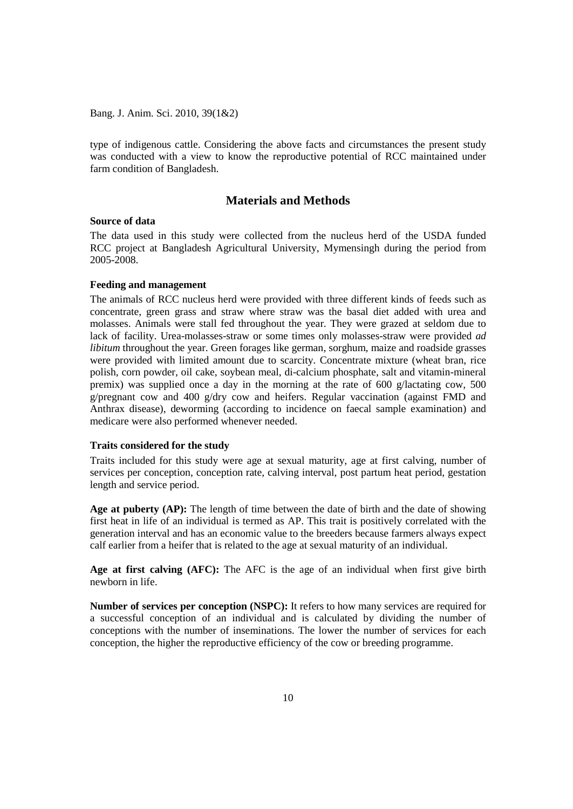type of indigenous cattle. Considering the above facts and circumstances the present study was conducted with a view to know the reproductive potential of RCC maintained under farm condition of Bangladesh.

## **Materials and Methods**

### **Source of data**

The data used in this study were collected from the nucleus herd of the USDA funded RCC project at Bangladesh Agricultural University, Mymensingh during the period from 2005-2008.

### **Feeding and management**

The animals of RCC nucleus herd were provided with three different kinds of feeds such as concentrate, green grass and straw where straw was the basal diet added with urea and molasses. Animals were stall fed throughout the year. They were grazed at seldom due to lack of facility. Urea-molasses-straw or some times only molasses-straw were provided *ad libitum* throughout the year. Green forages like german, sorghum, maize and roadside grasses were provided with limited amount due to scarcity. Concentrate mixture (wheat bran, rice polish, corn powder, oil cake, soybean meal, di-calcium phosphate, salt and vitamin-mineral premix) was supplied once a day in the morning at the rate of 600 g/lactating cow, 500 g/pregnant cow and 400 g/dry cow and heifers. Regular vaccination (against FMD and Anthrax disease), deworming (according to incidence on faecal sample examination) and medicare were also performed whenever needed.

#### **Traits considered for the study**

Traits included for this study were age at sexual maturity, age at first calving, number of services per conception, conception rate, calving interval, post partum heat period, gestation length and service period.

**Age at puberty (AP):** The length of time between the date of birth and the date of showing first heat in life of an individual is termed as AP. This trait is positively correlated with the generation interval and has an economic value to the breeders because farmers always expect calf earlier from a heifer that is related to the age at sexual maturity of an individual.

**Age at first calving (AFC):** The AFC is the age of an individual when first give birth newborn in life.

**Number of services per conception (NSPC):** It refers to how many services are required for a successful conception of an individual and is calculated by dividing the number of conceptions with the number of inseminations. The lower the number of services for each conception, the higher the reproductive efficiency of the cow or breeding programme.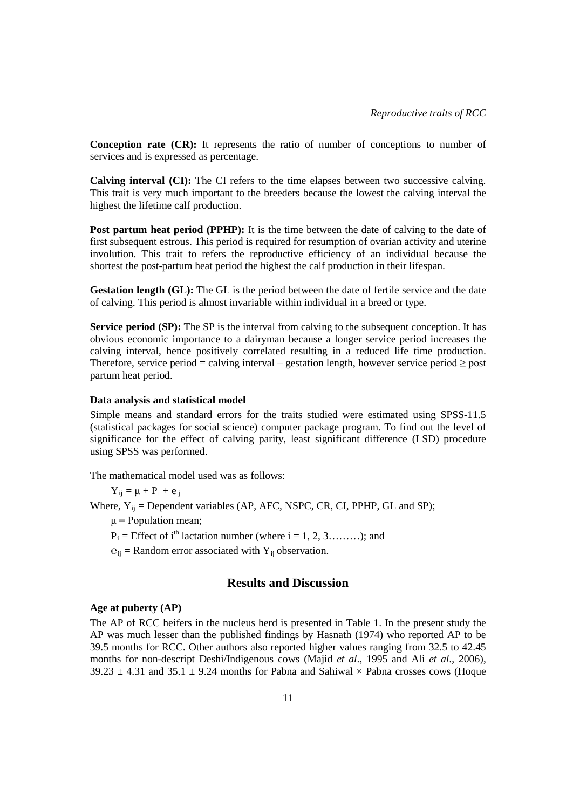**Conception rate (CR):** It represents the ratio of number of conceptions to number of services and is expressed as percentage.

**Calving interval (CI):** The CI refers to the time elapses between two successive calving. This trait is very much important to the breeders because the lowest the calving interval the highest the lifetime calf production.

**Post partum heat period (PPHP):** It is the time between the date of calving to the date of first subsequent estrous. This period is required for resumption of ovarian activity and uterine involution. This trait to refers the reproductive efficiency of an individual because the shortest the post-partum heat period the highest the calf production in their lifespan.

**Gestation length (GL):** The GL is the period between the date of fertile service and the date of calving. This period is almost invariable within individual in a breed or type.

**Service period (SP):** The SP is the interval from calving to the subsequent conception. It has obvious economic importance to a dairyman because a longer service period increases the calving interval, hence positively correlated resulting in a reduced life time production. Therefore, service period = calving interval – gestation length, however service period  $\geq$  post partum heat period.

### **Data analysis and statistical model**

Simple means and standard errors for the traits studied were estimated using SPSS-11.5 (statistical packages for social science) computer package program. To find out the level of significance for the effect of calving parity, least significant difference (LSD) procedure using SPSS was performed.

The mathematical model used was as follows:

 $Y_{ij} = \mu + P_i + e_{ij}$ 

Where,  $Y_{ij}$  = Dependent variables (AP, AFC, NSPC, CR, CI, PPHP, GL and SP);

 $\mu$  = Population mean;

 $P_i$  = Effect of i<sup>th</sup> lactation number (where i = 1, 2, 3………); and

 $e_{ii}$  = Random error associated with Y<sub>ij</sub> observation.

## **Results and Discussion**

## **Age at puberty (AP)**

The AP of RCC heifers in the nucleus herd is presented in Table 1. In the present study the AP was much lesser than the published findings by Hasnath (1974) who reported AP to be 39.5 months for RCC. Other authors also reported higher values ranging from 32.5 to 42.45 months for non-descript Deshi/Indigenous cows (Majid *et al*., 1995 and Ali *et al*., 2006),  $39.23 \pm 4.31$  and  $35.1 \pm 9.24$  months for Pabna and Sahiwal  $\times$  Pabna crosses cows (Hoque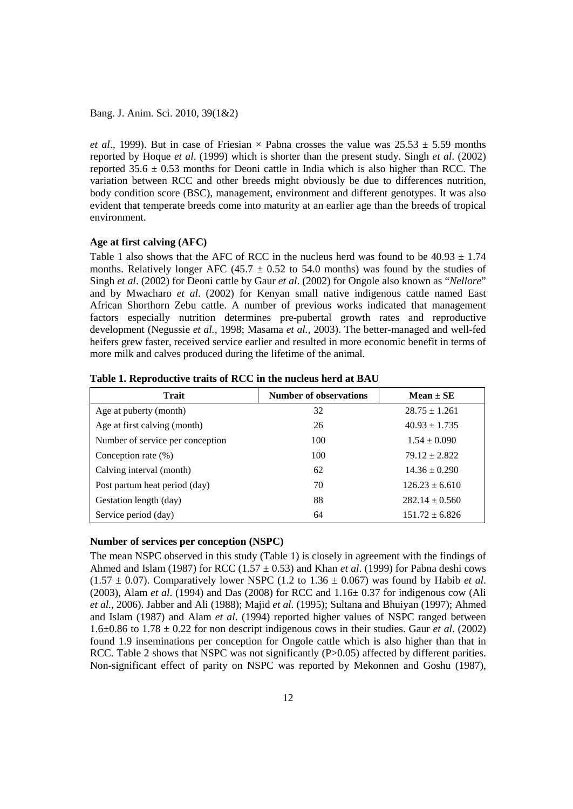*et al.*, 1999). But in case of Friesian  $\times$  Pabna crosses the value was  $25.53 \pm 5.59$  months reported by Hoque *et al*. (1999) which is shorter than the present study. Singh *et al*. (2002) reported  $35.6 \pm 0.53$  months for Deoni cattle in India which is also higher than RCC. The variation between RCC and other breeds might obviously be due to differences nutrition, body condition score (BSC), management, environment and different genotypes. It was also evident that temperate breeds come into maturity at an earlier age than the breeds of tropical environment.

#### **Age at first calving (AFC)**

Table 1 also shows that the AFC of RCC in the nucleus herd was found to be  $40.93 \pm 1.74$ months. Relatively longer AFC (45.7  $\pm$  0.52 to 54.0 months) was found by the studies of Singh *et al*. (2002) for Deoni cattle by Gaur *et al*. (2002) for Ongole also known as "*Nellore*" and by Mwacharo *et al*. (2002) for Kenyan small native indigenous cattle named East African Shorthorn Zebu cattle. A number of previous works indicated that management factors especially nutrition determines pre-pubertal growth rates and reproductive development (Negussie *et al.,* 1998; Masama *et al.,* 2003). The better-managed and well-fed heifers grew faster, received service earlier and resulted in more economic benefit in terms of more milk and calves produced during the lifetime of the animal.

| <b>Trait</b>                     | <b>Number of observations</b> | $Mean \pm SE$      |
|----------------------------------|-------------------------------|--------------------|
| Age at puberty (month)           | 32                            | $28.75 \pm 1.261$  |
| Age at first calving (month)     | 26                            | $40.93 \pm 1.735$  |
| Number of service per conception | 100                           | $1.54 \pm 0.090$   |
| Conception rate $(\%)$           | 100                           | $79.12 \pm 2.822$  |
| Calving interval (month)         | 62                            | $14.36 \pm 0.290$  |
| Post partum heat period (day)    | 70                            | $126.23 \pm 6.610$ |
| Gestation length (day)           | 88                            | $282.14 \pm 0.560$ |
| Service period (day)             | 64                            | $151.72 \pm 6.826$ |

**Table 1. Reproductive traits of RCC in the nucleus herd at BAU**

### **Number of services per conception (NSPC)**

The mean NSPC observed in this study (Table 1) is closely in agreement with the findings of Ahmed and Islam (1987) for RCC (1.57  $\pm$  0.53) and Khan *et al.* (1999) for Pabna deshi cows  $(1.57 \pm 0.07)$ . Comparatively lower NSPC  $(1.2 \text{ to } 1.36 \pm 0.067)$  was found by Habib *et al.* (2003), Alam *et al*. (1994) and Das (2008) for RCC and 1.16± 0.37 for indigenous cow (Ali *et al.*, 2006). Jabber and Ali (1988); Majid *et al*. (1995); Sultana and Bhuiyan (1997); Ahmed and Islam (1987) and Alam *et al*. (1994) reported higher values of NSPC ranged between 1.6±0.86 to 1.78 ± 0.22 for non descript indigenous cows in their studies. Gaur *et al*. (2002) found 1.9 inseminations per conception for Ongole cattle which is also higher than that in RCC. Table 2 shows that NSPC was not significantly (P>0.05) affected by different parities. Non-significant effect of parity on NSPC was reported by Mekonnen and Goshu (1987),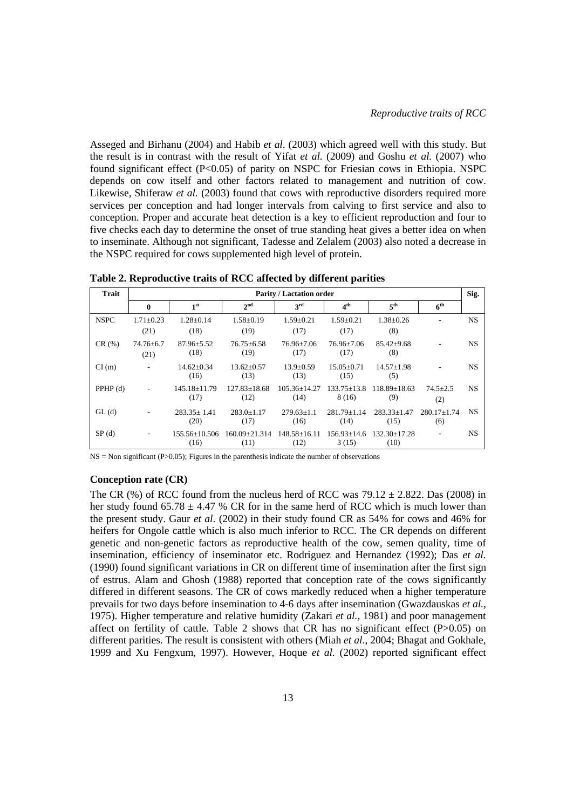Asseged and Birhanu (2004) and Habib *et al*. (2003) which agreed well with this study. But the result is in contrast with the result of Yifat *et al.* (2009) and Goshu *et al.* (2007) who found significant effect (P<0.05) of parity on NSPC for Friesian cows in Ethiopia. NSPC depends on cow itself and other factors related to management and nutrition of cow. Likewise, Shiferaw *et al.* (2003) found that cows with reproductive disorders required more services per conception and had longer intervals from calving to first service and also to conception. Proper and accurate heat detection is a key to efficient reproduction and four to five checks each day to determine the onset of true standing heat gives a better idea on when to inseminate. Although not significant, Tadesse and Zelalem (2003) also noted a decrease in the NSPC required for cows supplemented high level of protein.

| Trait       | <b>Parity / Lactation order</b> |                          |                           |                            |                           |                          |                        | Sig.      |
|-------------|---------------------------------|--------------------------|---------------------------|----------------------------|---------------------------|--------------------------|------------------------|-----------|
|             | $\mathbf{0}$                    | 1 <sup>st</sup>          | 2 <sup>nd</sup>           | 3 <sup>rd</sup>            | 4 <sup>th</sup>           | 5 <sup>th</sup>          | 6 <sup>th</sup>        |           |
| <b>NSPC</b> | $1.71 \pm 0.23$                 | $1.28 \pm 0.14$          | $1.58 \pm 0.19$           | $1.59 \pm 0.21$            | $1.59 \pm 0.21$           | $1.38 \pm 0.26$          |                        | <b>NS</b> |
|             | (21)                            | (18)                     | (19)                      | (17)                       | (17)                      | (8)                      |                        |           |
| CR(%)       | $74.76 \pm 6.7$<br>(21)         | $87.96 \pm 5.52$<br>(18) | $76.75 \pm 6.58$<br>(19)  | $76.96 \pm 7.06$<br>(17)   | $76.96 \pm 7.06$<br>(17)  | $85.42 \pm 9.68$<br>(8)  |                        | <b>NS</b> |
| CI(m)       |                                 | $14.62 \pm 0.34$<br>(16) | $13.62 \pm 0.57$<br>(13)  | $13.9 \pm 0.59$<br>(13)    | $15.05 \pm 0.71$<br>(15)  | $14.57 + 1.98$<br>(5)    |                        | <b>NS</b> |
| PPHP(d)     |                                 | $145.18 + 11.79$<br>(17) | $127.83 + 18.68$<br>(12)  | $105.36 \pm 14.27$<br>(14) | $133.75 + 13.8$<br>8 (16) | $118.89 + 18.63$<br>(9)  | $74.5 \pm 2.5$<br>(2)  | <b>NS</b> |
| GL(d)       |                                 | $283.35+1.41$<br>(20)    | $283.0 \pm 1.17$<br>(17)  | $279.63+1.1$<br>(16)       | $281.79 + 1.14$<br>(14)   | $283.33+1.47$<br>(15)    | $280.17 + 1.74$<br>(6) | <b>NS</b> |
| SP(d)       |                                 | $155.56+10.506$<br>(16)  | $160.09 + 21.314$<br>(11) | $148.58 + 16.11$<br>(12)   | $156.93 + 14.6$<br>3(15)  | $132.30 + 17.28$<br>(10) | ۰                      | <b>NS</b> |

**Table 2. Reproductive traits of RCC affected by different parities**

 $NS = Non significant (P > 0.05)$ ; Figures in the parenthesis indicate the number of observations

## **Conception rate (CR)**

The CR  $(\%)$  of RCC found from the nucleus herd of RCC was 79.12  $\pm$  2.822. Das (2008) in her study found  $65.78 \pm 4.47$  % CR for in the same herd of RCC which is much lower than the present study. Gaur *et al*. (2002) in their study found CR as 54% for cows and 46% for heifers for Ongole cattle which is also much inferior to RCC. The CR depends on different genetic and non-genetic factors as reproductive health of the cow, semen quality, time of insemination, efficiency of inseminator etc. Rodriguez and Hernandez (1992); Das *et al.*  (1990) found significant variations in CR on different time of insemination after the first sign of estrus. Alam and Ghosh (1988) reported that conception rate of the cows significantly differed in different seasons. The CR of cows markedly reduced when a higher temperature prevails for two days before insemination to 4-6 days after insemination (Gwazdauskas *et al.,*  1975). Higher temperature and relative humidity (Zakari *et al.,* 1981) and poor management affect on fertility of cattle. Table 2 shows that CR has no significant effect (P>0.05) on different parities. The result is consistent with others (Miah *et al*., 2004; Bhagat and Gokhale, 1999 and Xu Fengxum, 1997). However, Hoque *et al.* (2002) reported significant effect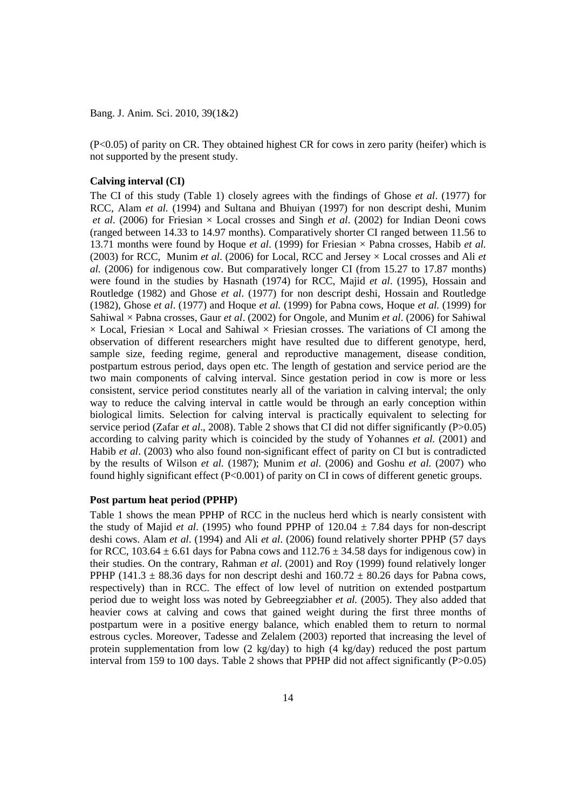(P<0.05) of parity on CR. They obtained highest CR for cows in zero parity (heifer) which is not supported by the present study.

### **Calving interval (CI)**

The CI of this study (Table 1) closely agrees with the findings of Ghose *et al*. (1977) for RCC, Alam *et al.* (1994) and Sultana and Bhuiyan (1997) for non descript deshi, Munim *et al*. (2006) for Friesian × Local crosses and Singh *et al*. (2002) for Indian Deoni cows (ranged between 14.33 to 14.97 months). Comparatively shorter CI ranged between 11.56 to 13.71 months were found by Hoque *et al*. (1999) for Friesian × Pabna crosses, Habib *et al.* (2003) for RCC, Munim *et al*. (2006) for Local, RCC and Jersey × Local crosses and Ali *et al.* (2006) for indigenous cow. But comparatively longer CI (from 15.27 to 17.87 months) were found in the studies by Hasnath (1974) for RCC, Majid *et al*. (1995), Hossain and Routledge (1982) and Ghose *et al*. (1977) for non descript deshi, Hossain and Routledge (1982), Ghose *et al*. (1977) and Hoque *et al.* (1999) for Pabna cows, Hoque *et al.* (1999) for Sahiwal × Pabna crosses, Gaur *et al*. (2002) for Ongole, and Munim *et al*. (2006) for Sahiwal  $\times$  Local, Friesian  $\times$  Local and Sahiwal  $\times$  Friesian crosses. The variations of CI among the observation of different researchers might have resulted due to different genotype, herd, sample size, feeding regime, general and reproductive management, disease condition, postpartum estrous period, days open etc. The length of gestation and service period are the two main components of calving interval. Since gestation period in cow is more or less consistent, service period constitutes nearly all of the variation in calving interval; the only way to reduce the calving interval in cattle would be through an early conception within biological limits. Selection for calving interval is practically equivalent to selecting for service period (Zafar *et al.*, 2008). Table 2 shows that CI did not differ significantly (P>0.05) according to calving parity which is coincided by the study of Yohannes *et al.* (2001) and Habib *et al*. (2003) who also found non-significant effect of parity on CI but is contradicted by the results of Wilson *et al.* (1987); Munim *et al*. (2006) and Goshu *et al.* (2007) who found highly significant effect (P<0.001) of parity on CI in cows of different genetic groups.

## **Post partum heat period (PPHP)**

Table 1 shows the mean PPHP of RCC in the nucleus herd which is nearly consistent with the study of Majid *et al.* (1995) who found PPHP of  $120.04 \pm 7.84$  days for non-descript deshi cows. Alam *et al*. (1994) and Ali *et al*. (2006) found relatively shorter PPHP (57 days for RCC,  $103.64 \pm 6.61$  days for Pabna cows and  $112.76 \pm 34.58$  days for indigenous cow) in their studies. On the contrary, Rahman *et al*. (2001) and Roy (1999) found relatively longer PPHP (141.3  $\pm$  88.36 days for non descript deshi and 160.72  $\pm$  80.26 days for Pabna cows, respectively) than in RCC. The effect of low level of nutrition on extended postpartum period due to weight loss was noted by Gebreegziabher *et al.* (2005). They also added that heavier cows at calving and cows that gained weight during the first three months of postpartum were in a positive energy balance, which enabled them to return to normal estrous cycles. Moreover, Tadesse and Zelalem (2003) reported that increasing the level of protein supplementation from low (2 kg/day) to high (4 kg/day) reduced the post partum interval from 159 to 100 days. Table 2 shows that PPHP did not affect significantly  $(P>0.05)$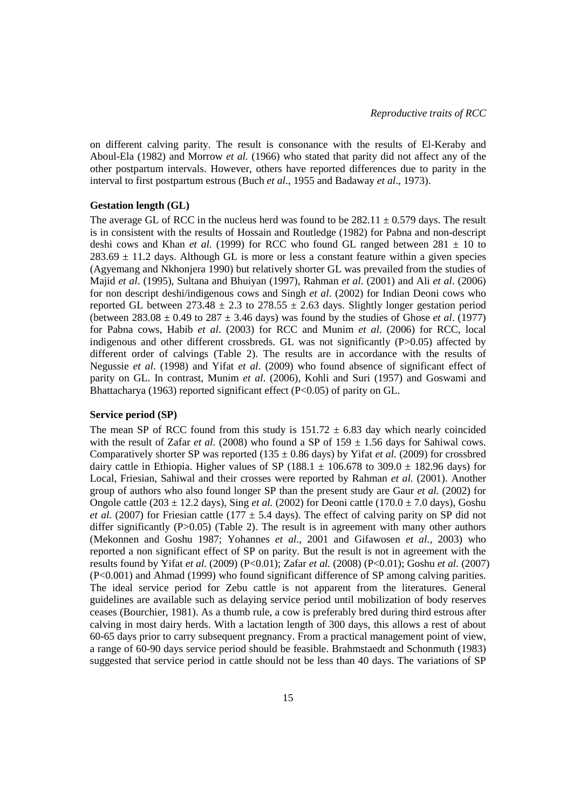on different calving parity. The result is consonance with the results of El-Keraby and Aboul-Ela (1982) and Morrow *et al.* (1966) who stated that parity did not affect any of the other postpartum intervals. However, others have reported differences due to parity in the interval to first postpartum estrous (Buch *et al*., 1955 and Badaway *et al*., 1973).

## **Gestation length (GL)**

The average GL of RCC in the nucleus herd was found to be  $282.11 \pm 0.579$  days. The result is in consistent with the results of Hossain and Routledge (1982) for Pabna and non-descript deshi cows and Khan *et al.* (1999) for RCC who found GL ranged between  $281 \pm 10$  to  $283.69 \pm 11.2$  days. Although GL is more or less a constant feature within a given species (Agyemang and Nkhonjera 1990) but relatively shorter GL was prevailed from the studies of Majid *et al*. (1995), Sultana and Bhuiyan (1997), Rahman *et al*. (2001) and Ali *et al*. (2006) for non descript deshi/indigenous cows and Singh *et al*. (2002) for Indian Deoni cows who reported GL between  $273.48 \pm 2.3$  to  $278.55 \pm 2.63$  days. Slightly longer gestation period (between  $283.08 \pm 0.49$  to  $287 \pm 3.46$  days) was found by the studies of Ghose *et al.* (1977) for Pabna cows, Habib *et al*. (2003) for RCC and Munim *et al*. (2006) for RCC, local indigenous and other different crossbreds. GL was not significantly (P>0.05) affected by different order of calvings (Table 2). The results are in accordance with the results of Negussie *et al*. (1998) and Yifat *et al*. (2009) who found absence of significant effect of parity on GL. In contrast, Munim *et al*. (2006), Kohli and Suri (1957) and Goswami and Bhattacharya (1963) reported significant effect ( $P<0.05$ ) of parity on GL.

### **Service period (SP)**

The mean SP of RCC found from this study is  $151.72 \pm 6.83$  day which nearly coincided with the result of Zafar *et al.* (2008) who found a SP of  $159 \pm 1.56$  days for Sahiwal cows. Comparatively shorter SP was reported  $(135 \pm 0.86 \text{ days})$  by Yifat *et al.* (2009) for crossbred dairy cattle in Ethiopia. Higher values of SP (188.1  $\pm$  106.678 to 309.0  $\pm$  182.96 days) for Local, Friesian, Sahiwal and their crosses were reported by Rahman *et al.* (2001). Another group of authors who also found longer SP than the present study are Gaur *et al.* (2002) for Ongole cattle  $(203 \pm 12.2$  days), Sing *et al.*  $(2002)$  for Deoni cattle  $(170.0 \pm 7.0$  days), Goshu *et al.* (2007) for Friesian cattle (177  $\pm$  5.4 days). The effect of calving parity on SP did not differ significantly  $(P>0.05)$  (Table 2). The result is in agreement with many other authors (Mekonnen and Goshu 1987; Yohannes *et al.,* 2001 and Gifawosen *et al.,* 2003) who reported a non significant effect of SP on parity. But the result is not in agreement with the results found by Yifat *et al.* (2009) (P<0.01); Zafar *et al.* (2008) (P<0.01); Goshu *et al.* (2007) (P<0.001) and Ahmad (1999) who found significant difference of SP among calving parities. The ideal service period for Zebu cattle is not apparent from the literatures. General guidelines are available such as delaying service period until mobilization of body reserves ceases (Bourchier, 1981). As a thumb rule, a cow is preferably bred during third estrous after calving in most dairy herds. With a lactation length of 300 days, this allows a rest of about 60-65 days prior to carry subsequent pregnancy. From a practical management point of view, a range of 60-90 days service period should be feasible. Brahmstaedt and Schonmuth (1983) suggested that service period in cattle should not be less than 40 days. The variations of SP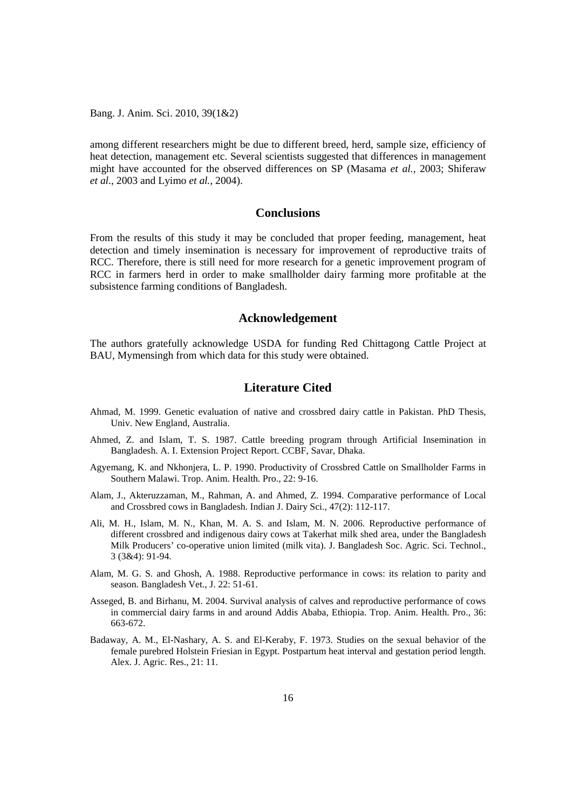among different researchers might be due to different breed, herd, sample size, efficiency of heat detection, management etc. Several scientists suggested that differences in management might have accounted for the observed differences on SP (Masama *et al.,* 2003; Shiferaw *et al*., 2003 and Lyimo *et al.,* 2004).

## **Conclusions**

From the results of this study it may be concluded that proper feeding, management, heat detection and timely insemination is necessary for improvement of reproductive traits of RCC. Therefore, there is still need for more research for a genetic improvement program of RCC in farmers herd in order to make smallholder dairy farming more profitable at the subsistence farming conditions of Bangladesh.

### **Acknowledgement**

The authors gratefully acknowledge USDA for funding Red Chittagong Cattle Project at BAU, Mymensingh from which data for this study were obtained.

## **Literature Cited**

- Ahmad, M. 1999. Genetic evaluation of native and crossbred dairy cattle in Pakistan. PhD Thesis, Univ. New England, Australia.
- Ahmed, Z. and Islam, T. S. 1987. Cattle breeding program through Artificial Insemination in Bangladesh. A. I. Extension Project Report. CCBF, Savar, Dhaka.
- Agyemang, K. and Nkhonjera, L. P. 1990. Productivity of Crossbred Cattle on Smallholder Farms in Southern Malawi. Trop. Anim. Health. Pro., 22: 9-16.
- Alam, J., Akteruzzaman, M., Rahman, A. and Ahmed, Z. 1994. Comparative performance of Local and Crossbred cows in Bangladesh. Indian J. Dairy Sci., 47(2): 112-117.
- Ali, M. H., Islam, M. N., Khan, M. A. S. and Islam, M. N. 2006. Reproductive performance of different crossbred and indigenous dairy cows at Takerhat milk shed area, under the Bangladesh Milk Producers' co-operative union limited (milk vita). J. Bangladesh Soc. Agric. Sci. Technol., 3 (3&4): 91-94.
- Alam, M. G. S. and Ghosh, A. 1988. Reproductive performance in cows: its relation to parity and season. Bangladesh Vet., J. 22: 51-61.
- Asseged, B. and Birhanu, M. 2004. Survival analysis of calves and reproductive performance of cows in commercial dairy farms in and around Addis Ababa, Ethiopia. Trop. Anim. Health. Pro., 36: 663-672.
- Badaway, A. M., El-Nashary, A. S. and El-Keraby, F. 1973. Studies on the sexual behavior of the female purebred Holstein Friesian in Egypt. Postpartum heat interval and gestation period length. Alex. J. Agric. Res., 21: 11.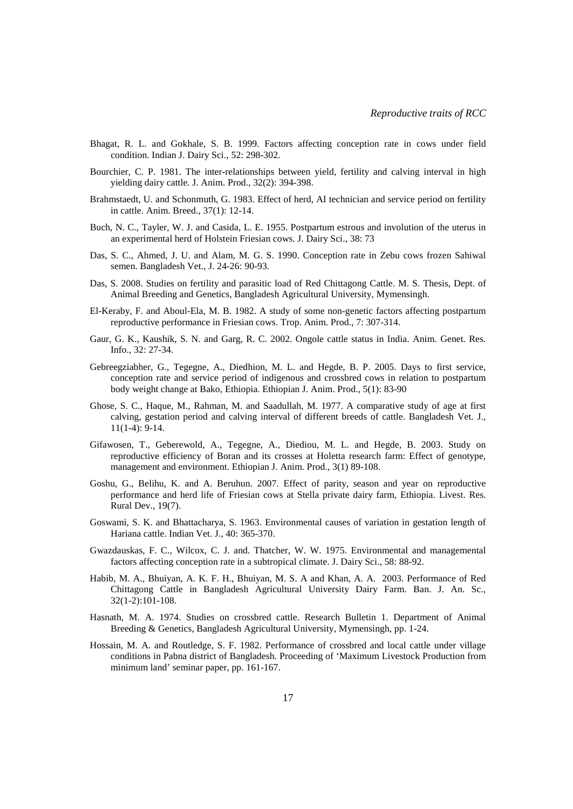- Bhagat, R. L. and Gokhale, S. B. 1999. Factors affecting conception rate in cows under field condition. Indian J. Dairy Sci., 52: 298-302.
- Bourchier, C. P. 1981. The inter-relationships between yield, fertility and calving interval in high yielding dairy cattle*.* J. Anim. Prod., 32(2): 394-398.
- Brahmstaedt, U. and Schonmuth, G. 1983. Effect of herd, AI technician and service period on fertility in cattle. Anim. Breed., 37(1): 12-14.
- Buch, N. C., Tayler, W. J. and Casida, L. E. 1955. Postpartum estrous and involution of the uterus in an experimental herd of Holstein Friesian cows. J. Dairy Sci., 38: 73
- Das, S. C., Ahmed, J. U. and Alam, M. G. S. 1990. Conception rate in Zebu cows frozen Sahiwal semen. Bangladesh Vet., J. 24-26: 90-93.
- Das, S. 2008. Studies on fertility and parasitic load of Red Chittagong Cattle. M. S. Thesis, Dept. of Animal Breeding and Genetics, Bangladesh Agricultural University, Mymensingh.
- El-Keraby, F. and Aboul-Ela, M. B. 1982. A study of some non-genetic factors affecting postpartum reproductive performance in Friesian cows. Trop. Anim. Prod., 7: 307-314.
- Gaur, G. K., Kaushik, S. N. and Garg, R. C. 2002. Ongole cattle status in India. Anim. Genet. Res. Info.*,* 32: 27-34.
- Gebreegziabher, G., Tegegne, A., Diedhion, M. L. and Hegde, B. P. 2005. Days to first service, conception rate and service period of indigenous and crossbred cows in relation to postpartum body weight change at Bako, Ethiopia. Ethiopian J. Anim. Prod., 5(1): 83-90
- Ghose, S. C., Haque, M., Rahman, M. and Saadullah, M. 1977. A comparative study of age at first calving, gestation period and calving interval of different breeds of cattle. Bangladesh Vet. J.*,*  11(1-4): 9-14.
- Gifawosen, T., Geberewold, A., Tegegne, A., Diediou, M. L. and Hegde, B. 2003. Study on reproductive efficiency of Boran and its crosses at Holetta research farm: Effect of genotype, management and environment. Ethiopian J. Anim. Prod., 3(1) 89-108.
- Goshu, G., Belihu, K. and A. Beruhun. 2007. Effect of parity, season and year on reproductive performance and herd life of Friesian cows at Stella private dairy farm, Ethiopia. Livest. Res. Rural Dev., 19(7).
- Goswami, S. K. and Bhattacharya, S. 1963. Environmental causes of variation in gestation length of Hariana cattle. Indian Vet. J., 40: 365-370.
- Gwazdauskas, F. C., Wilcox, C. J. and. Thatcher, W. W. 1975. Environmental and managemental factors affecting conception rate in a subtropical climate. J. Dairy Sci., 58: 88-92.
- Habib, M. A., Bhuiyan, A. K. F. H., Bhuiyan, M. S. A and Khan, A. A. 2003. Performance of Red Chittagong Cattle in Bangladesh Agricultural University Dairy Farm. Ban. J. An. Sc., 32(1-2):101-108.
- Hasnath, M. A. 1974. Studies on crossbred cattle. Research Bulletin 1. Department of Animal Breeding & Genetics, Bangladesh Agricultural University, Mymensingh, pp. 1-24.
- Hossain, M. A. and Routledge, S. F. 1982. Performance of crossbred and local cattle under village conditions in Pabna district of Bangladesh. Proceeding of 'Maximum Livestock Production from minimum land' seminar paper, pp. 161-167.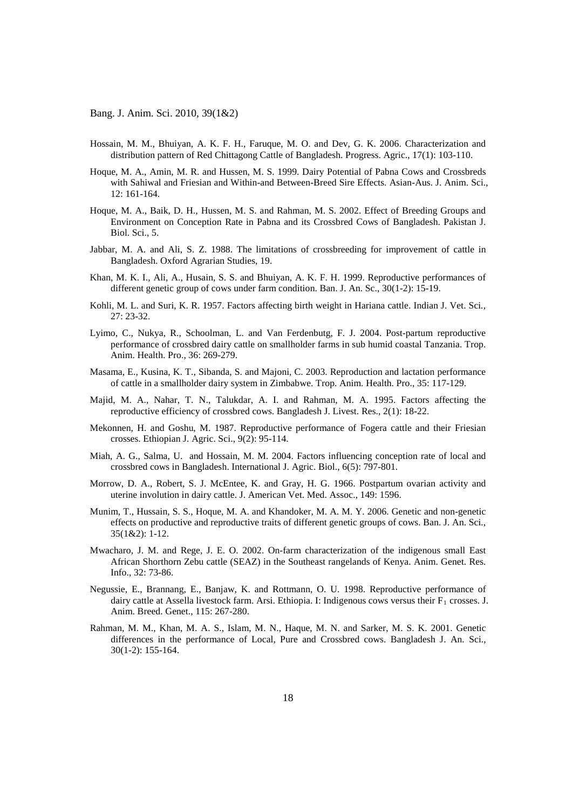- Hossain, M. M., Bhuiyan, A. K. F. H., Faruque, M. O. and Dev, G. K. 2006. Characterization and distribution pattern of Red Chittagong Cattle of Bangladesh. Progress. Agric., 17(1): 103-110.
- Hoque, M. A., Amin, M. R. and Hussen, M. S. 1999. Dairy Potential of Pabna Cows and Crossbreds with Sahiwal and Friesian and Within-and Between-Breed Sire Effects. Asian-Aus. J. Anim. Sci., 12: 161-164.
- Hoque, M. A., Baik, D. H., Hussen, M. S. and Rahman, M. S. 2002. Effect of Breeding Groups and Environment on Conception Rate in Pabna and its Crossbred Cows of Bangladesh. Pakistan J. Biol. Sci., 5.
- Jabbar, M. A. and Ali, S. Z. 1988. The limitations of crossbreeding for improvement of cattle in Bangladesh. Oxford Agrarian Studies, 19.
- Khan, M. K. I., Ali, A., Husain, S. S. and Bhuiyan, A. K. F. H. 1999. Reproductive performances of different genetic group of cows under farm condition. Ban. J. An. Sc., 30(1-2): 15-19.
- Kohli, M. L. and Suri, K. R. 1957. Factors affecting birth weight in Hariana cattle. Indian J. Vet. Sci*.,* 27: 23-32.
- Lyimo, C., Nukya, R., Schoolman, L. and Van Ferdenbutg, F. J. 2004. Post-partum reproductive performance of crossbred dairy cattle on smallholder farms in sub humid coastal Tanzania. Trop. Anim. Health. Pro., 36: 269-279.
- Masama, E., Kusina, K. T., Sibanda, S. and Majoni, C. 2003. Reproduction and lactation performance of cattle in a smallholder dairy system in Zimbabwe. Trop. Anim. Health. Pro., 35: 117-129.
- Majid, M. A., Nahar, T. N., Talukdar, A. I. and Rahman, M. A. 1995. Factors affecting the reproductive efficiency of crossbred cows. Bangladesh J. Livest. Res., 2(1): 18-22.
- Mekonnen, H. and Goshu, M. 1987. Reproductive performance of Fogera cattle and their Friesian crosses. Ethiopian J. Agric. Sci., 9(2): 95-114.
- Miah, A. G., Salma, U. and Hossain, M. M. 2004. Factors influencing conception rate of local and crossbred cows in Bangladesh. International J. Agric. Biol., 6(5): 797-801.
- Morrow, D. A., Robert, S. J. McEntee, K. and Gray, H. G. 1966. Postpartum ovarian activity and uterine involution in dairy cattle. J. American Vet. Med. Assoc., 149: 1596.
- Munim, T., Hussain, S. S., Hoque, M. A. and Khandoker, M. A. M. Y. 2006. Genetic and non-genetic effects on productive and reproductive traits of different genetic groups of cows. Ban. J. An. Sci., 35(1&2): 1-12.
- Mwacharo, J. M. and Rege, J. E. O. 2002. On-farm characterization of the indigenous small East African Shorthorn Zebu cattle (SEAZ) in the Southeast rangelands of Kenya. Anim. Genet. Res. Info., 32: 73-86.
- Negussie, E., Brannang, E., Banjaw, K. and Rottmann, O. U. 1998. Reproductive performance of dairy cattle at Assella livestock farm. Arsi. Ethiopia. I: Indigenous cows versus their  $F_1$  crosses. J. Anim. Breed. Genet., 115: 267-280.
- Rahman, M. M., Khan, M. A. S., Islam, M. N., Haque, M. N. and Sarker, M. S. K. 2001. Genetic differences in the performance of Local, Pure and Crossbred cows. Bangladesh J. An. Sci., 30(1-2): 155-164.